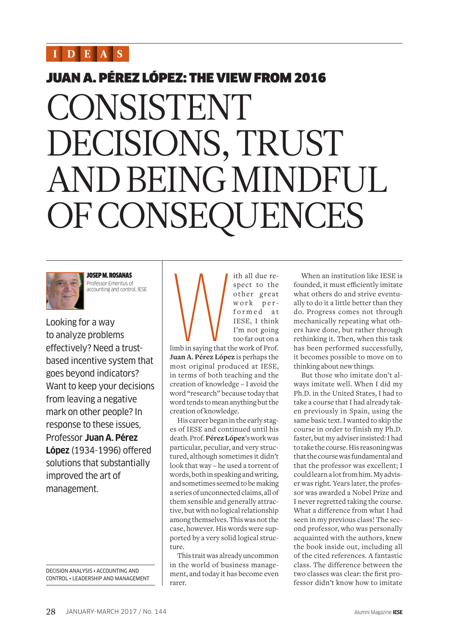## D E A S

## JUAN A. PÉREZ LÓPEZ: THE VIEW FROM 2016 CONSISTENT DECISIONS, TRUST AND BEING MINDFUL OF CONSEQUENCES



JOSEP M. ROSANAS Professor Emeritus of accounting and control, IESE

Looking for a way to analyze problems effectively? Need a trustbased incentive system that goes beyond indicators? Want to keep your decisions from leaving a negative mark on other people? In response to these issues, Professor **Juan A. Pérez López** (1934-1996) offered solutions that substantially improved the art of management.

DECISION ANALYSIS • ACCOUNTING AND CONTROL • LEADERSHIP AND MANAGEMENT

ith all due re-<br>spect to the<br>other great<br>work per-<br>formed at<br>lies is a limit in saying that the work of Prof.<br>Iuan A Pérez Lénez is perhaps the I'm not going too far out on a limb in saying that the work of Prof. **Juan A. Pérez López** is perhaps the most original produced at IESE, in terms of both teaching and the creation of knowledge – I avoid the word "research" because today that word tends to mean anything but the

spect to the other great work performed at IESE, I think

creation of knowledge. His career began in the early stages of IESE and continued until his death. Prof. **Pérez López**'s work was particular, peculiar, and very structured, although sometimes it didn't look that way – he used a torrent of words, both in speaking and writing, and sometimes seemed to be making a series of unconnected claims, all of them sensible and generally attractive, but with no logical relationship among themselves. This was not the case, however. His words were supported by a very solid logical structure.

This trait was already uncommon in the world of business management, and today it has become even rarer.

When an institution like IESE is founded, it must efficiently imitate what others do and strive eventually to do it a little better than they do. Progress comes not through mechanically repeating what others have done, but rather through rethinking it. Then, when this task has been performed successfully, it becomes possible to move on to thinking about new things.

But those who imitate don't always imitate well. When I did my Ph.D. in the United States, I had to take a course that I had already taken previously in Spain, using the same basic text. I wanted to skip the course in order to finish my Ph.D. faster, but my adviser insisted: I had to take the course. His reasoning was that the course was fundamental and that the professor was excellent; I could learn a lot from him. My adviser was right. Years later, the professor was awarded a Nobel Prize and I never regretted taking the course. What a difference from what I had seen in my previous class! The second professor, who was personally acquainted with the authors, knew the book inside out, including all of the cited references. A fantastic class. The difference between the two classes was clear: the first professor didn't know how to imitate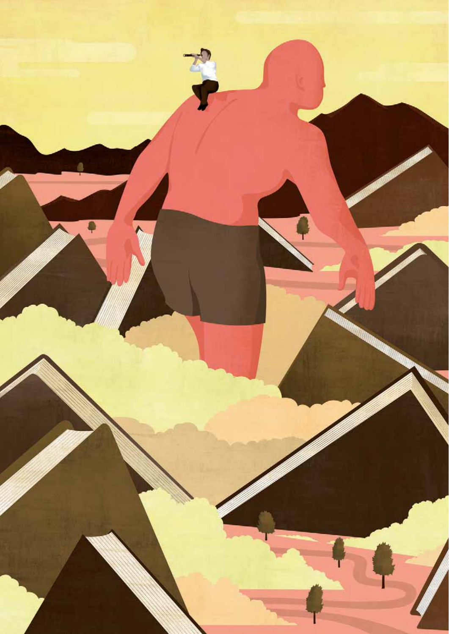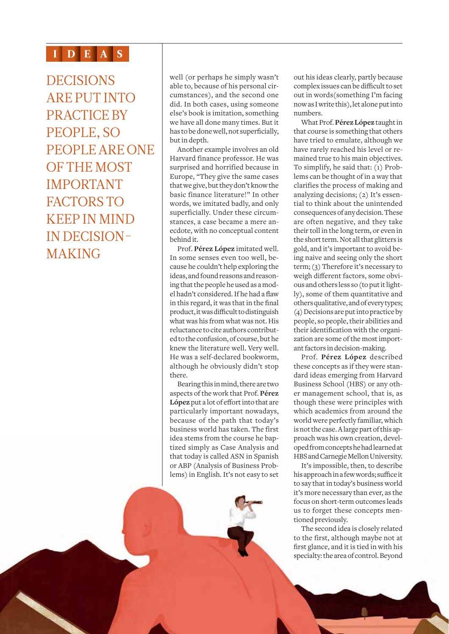## I D E A S

DECISIONS ARE PUT INTO PRACTICE BY PEOPLE, SO PEOPLE ARE ONE OF THE MOST IMPORTANT FACTORS TO KEEP IN MIND IN DECISION-MAKING

well (or perhaps he simply wasn't able to, because of his personal circumstances), and the second one did. In both cases, using someone else's book is imitation, something we have all done many times. But it has to be done well, not superficially, but in depth.

Another example involves an old Harvard finance professor. He was surprised and horrified because in Europe, "They give the same cases that we give, but they don't know the basic finance literature!" In other words, we imitated badly, and only superficially. Under these circumstances, a case became a mere anecdote, with no conceptual content behind it.

Prof. **Pérez López** imitated well. In some senses even too well, because he couldn't help exploring the ideas, and found reasons and reasoning that the people he used as a model hadn't considered. If he had a flaw in this regard, it was that in the final product, it was difficult to distinguish what was his from what was not. His reluctance to cite authors contributed to the confusion, of course, but he knew the literature well. Very well. He was a self-declared bookworm, although he obviously didn't stop there.

Bearing this in mind, there are two aspects of the work that Prof. **Pérez López** put a lot of effort into that are particularly important nowadays, because of the path that today's business world has taken. The first idea stems from the course he baptized simply as Case Analysis and that today is called ASN in Spanish or ABP (Analysis of Business Problems) in English. It's not easy to set

30 JANUARY-MARCH 2017 / No. 144 Alumni Magazine **IESE**

out his ideas clearly, partly because complex issues can be difficult to set out in words(something I'm facing now as I write this), let alone put into numbers.

What Prof. **Pérez López** taught in that course is something that others have tried to emulate, although we have rarely reached his level or remained true to his main objectives. To simplify, he said that: (1) Problems can be thought of in a way that clarifies the process of making and analyzing decisions; (2) It's essential to think about the unintended consequences of any decision. These are often negative, and they take their toll in the long term, or even in the short term. Not all that glitters is gold, and it's important to avoid being naive and seeing only the short term; (3) Therefore it's necessary to weigh different factors, some obvious and others less so (to put it lightly), some of them quantitative and others qualitative, and of every types; (4) Decisions are put into practice by people, so people, their abilities and their identification with the organization are some of the most important factors in decision-making.

Prof. **Pérez López** described these concepts as if they were standard ideas emerging from Harvard Business School (HBS) or any other management school, that is, as though these were principles with which academics from around the world were perfectly familiar, which is not the case. A large part of this approach was his own creation, developed from concepts he had learned at HBS and Carnegie Mellon University.

It's impossible, then, to describe his approach in a few words; suffice it to say that in today's business world it's more necessary than ever, as the focus on short-term outcomes leads us to forget these concepts mentioned previously.

The second idea is closely related to the first, although maybe not at first glance, and it is tied in with his specialty: the area of control. Beyond